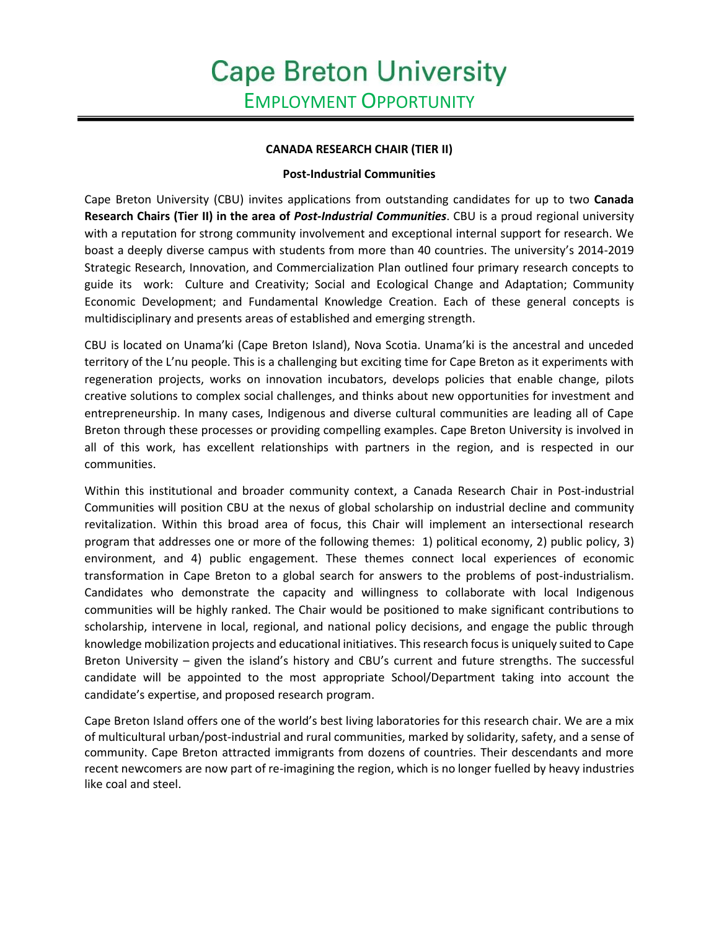## **CANADA RESEARCH CHAIR (TIER II)**

## **Post-Industrial Communities**

Cape Breton University (CBU) invites applications from outstanding candidates for up to two **Canada Research Chairs (Tier II) in the area of** *Post-Industrial Communities*. CBU is a proud regional university with a reputation for strong community involvement and exceptional internal support for research. We boast a deeply diverse campus with students from more than 40 countries. The university's 2014-2019 Strategic Research, Innovation, and Commercialization Plan outlined four primary research concepts to guide its work: Culture and Creativity; Social and Ecological Change and Adaptation; Community Economic Development; and Fundamental Knowledge Creation. Each of these general concepts is multidisciplinary and presents areas of established and emerging strength.

CBU is located on Unama'ki (Cape Breton Island), Nova Scotia. Unama'ki is the ancestral and unceded territory of the L'nu people. This is a challenging but exciting time for Cape Breton as it experiments with regeneration projects, works on innovation incubators, develops policies that enable change, pilots creative solutions to complex social challenges, and thinks about new opportunities for investment and entrepreneurship. In many cases, Indigenous and diverse cultural communities are leading all of Cape Breton through these processes or providing compelling examples. Cape Breton University is involved in all of this work, has excellent relationships with partners in the region, and is respected in our communities.

Within this institutional and broader community context, a Canada Research Chair in Post-industrial Communities will position CBU at the nexus of global scholarship on industrial decline and community revitalization. Within this broad area of focus, this Chair will implement an intersectional research program that addresses one or more of the following themes: 1) political economy, 2) public policy, 3) environment, and 4) public engagement. These themes connect local experiences of economic transformation in Cape Breton to a global search for answers to the problems of post-industrialism. Candidates who demonstrate the capacity and willingness to collaborate with local Indigenous communities will be highly ranked. The Chair would be positioned to make significant contributions to scholarship, intervene in local, regional, and national policy decisions, and engage the public through knowledge mobilization projects and educational initiatives. This research focus is uniquely suited to Cape Breton University – given the island's history and CBU's current and future strengths. The successful candidate will be appointed to the most appropriate School/Department taking into account the candidate's expertise, and proposed research program.

Cape Breton Island offers one of the world's best living laboratories for this research chair. We are a mix of multicultural urban/post-industrial and rural communities, marked by solidarity, safety, and a sense of community. Cape Breton attracted immigrants from dozens of countries. Their descendants and more recent newcomers are now part of re-imagining the region, which is no longer fuelled by heavy industries like coal and steel.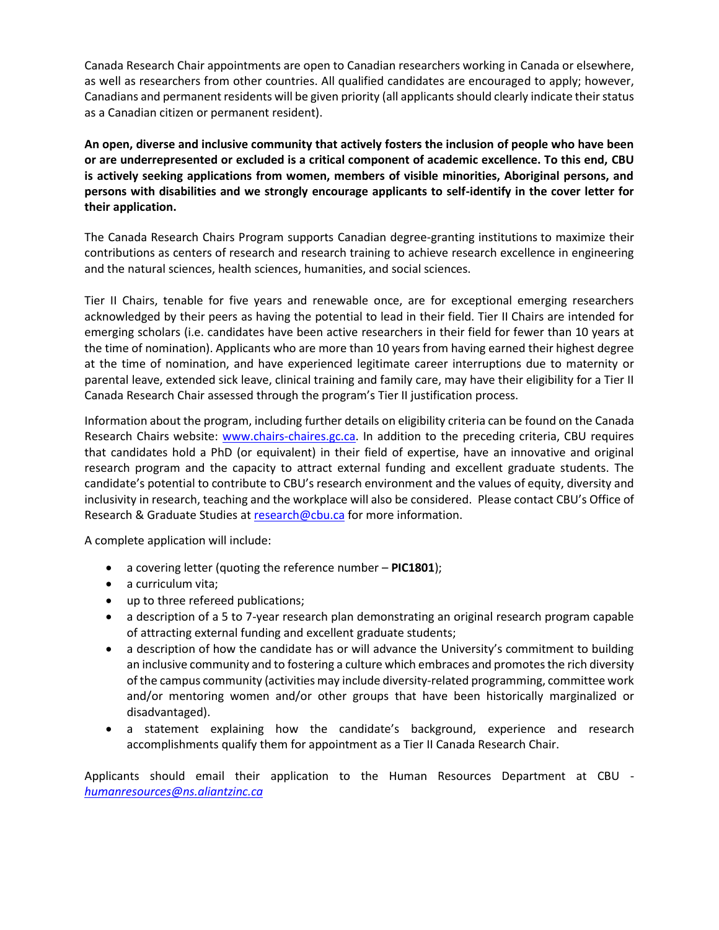Canada Research Chair appointments are open to Canadian researchers working in Canada or elsewhere, as well as researchers from other countries. All qualified candidates are encouraged to apply; however, Canadians and permanent residents will be given priority (all applicants should clearly indicate their status as a Canadian citizen or permanent resident).

**An open, diverse and inclusive community that actively fosters the inclusion of people who have been or are underrepresented or excluded is a critical component of academic excellence. To this end, CBU is actively seeking applications from women, members of visible minorities, Aboriginal persons, and persons with disabilities and we strongly encourage applicants to self-identify in the cover letter for their application.** 

The Canada Research Chairs Program supports Canadian degree-granting institutions to maximize their contributions as centers of research and research training to achieve research excellence in engineering and the natural sciences, health sciences, humanities, and social sciences.

Tier II Chairs, tenable for five years and renewable once, are for exceptional emerging researchers acknowledged by their peers as having the potential to lead in their field. Tier II Chairs are intended for emerging scholars (i.e. candidates have been active researchers in their field for fewer than 10 years at the time of nomination). Applicants who are more than 10 years from having earned their highest degree at the time of nomination, and have experienced legitimate career interruptions due to maternity or parental leave, extended sick leave, clinical training and family care, may have their eligibility for a Tier II Canada Research Chair assessed through the program's Tier II justification process.

Information about the program, including further details on eligibility criteria can be found on the Canada Research Chairs website: [www.chairs-chaires.gc.ca.](http://www.chairs-chaires.gc.ca/) In addition to the preceding criteria, CBU requires that candidates hold a PhD (or equivalent) in their field of expertise, have an innovative and original research program and the capacity to attract external funding and excellent graduate students. The candidate's potential to contribute to CBU's research environment and the values of equity, diversity and inclusivity in research, teaching and the workplace will also be considered. Please contact CBU's Office of Research & Graduate Studies at [research@cbu.ca](mailto:research@cbu.ca) for more information.

A complete application will include:

- a covering letter (quoting the reference number **PIC1801**);
- a curriculum vita;
- up to three refereed publications;
- a description of a 5 to 7-year research plan demonstrating an original research program capable of attracting external funding and excellent graduate students;
- a description of how the candidate has or will advance the University's commitment to building an inclusive community and to fostering a culture which embraces and promotes the rich diversity of the campus community (activities may include diversity‐related programming, committee work and/or mentoring women and/or other groups that have been historically marginalized or disadvantaged).
- a statement explaining how the candidate's background, experience and research accomplishments qualify them for appointment as a Tier II Canada Research Chair.

Applicants should email their application to the Human Resources Department at CBU *[humanresources@ns.aliantzinc.ca](mailto:humanresources@ns.aliantzinc.ca)*